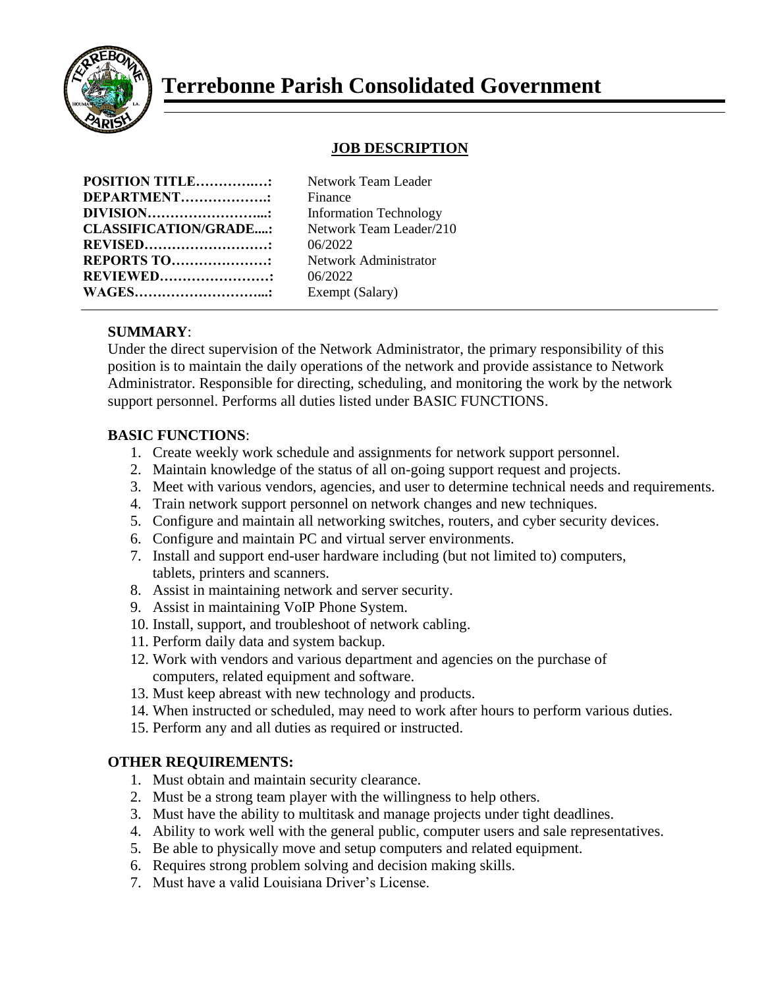

# **Terrebonne Parish Consolidated Government**

## **JOB DESCRIPTION**

| <b>POSITION TITLE:</b>       |  |
|------------------------------|--|
| DEPARTMENT                   |  |
| DIVISION                     |  |
| <b>CLASSIFICATION/GRADE:</b> |  |
| <b>REVISED</b>               |  |
| <b>REPORTS TO:</b>           |  |
| <b>REVIEWED</b>              |  |
| <b>WAGES</b> .               |  |

**Network Team Leader Finance Information Technology CLASSIFICATION/GRADE....:** Network Team Leader/210 **REVISED………………………:** 06/2022 **Network Administrator REVIEWED……………………:** 06/2022 Exempt (Salary)

### **SUMMARY**:

Under the direct supervision of the Network Administrator, the primary responsibility of this position is to maintain the daily operations of the network and provide assistance to Network Administrator. Responsible for directing, scheduling, and monitoring the work by the network support personnel. Performs all duties listed under BASIC FUNCTIONS.

#### **BASIC FUNCTIONS**:

- 1. Create weekly work schedule and assignments for network support personnel.
- 2. Maintain knowledge of the status of all on-going support request and projects.
- 3. Meet with various vendors, agencies, and user to determine technical needs and requirements.
- 4. Train network support personnel on network changes and new techniques.
- 5. Configure and maintain all networking switches, routers, and cyber security devices.
- 6. Configure and maintain PC and virtual server environments.
- 7. Install and support end-user hardware including (but not limited to) computers, tablets, printers and scanners.
- 8. Assist in maintaining network and server security.
- 9. Assist in maintaining VoIP Phone System.
- 10. Install, support, and troubleshoot of network cabling.
- 11. Perform daily data and system backup.
- 12. Work with vendors and various department and agencies on the purchase of computers, related equipment and software.
- 13. Must keep abreast with new technology and products.
- 14. When instructed or scheduled, may need to work after hours to perform various duties.
- 15. Perform any and all duties as required or instructed.

#### **OTHER REQUIREMENTS:**

- 1. Must obtain and maintain security clearance.
- 2. Must be a strong team player with the willingness to help others.
- 3. Must have the ability to multitask and manage projects under tight deadlines.
- 4. Ability to work well with the general public, computer users and sale representatives.
- 5. Be able to physically move and setup computers and related equipment.
- 6. Requires strong problem solving and decision making skills.
- 7. Must have a valid Louisiana Driver's License.